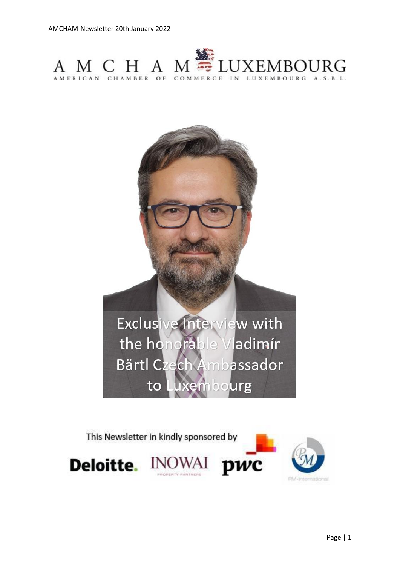



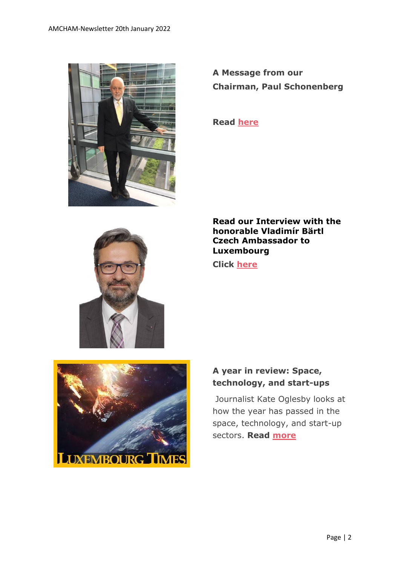

**A Message from our Chairman, Paul Schonenberg**

**Read [here](https://www.amcham.lu/newsletter/17879/)**



**Read our Interview with the honorable Vladimír Bärtl Czech Ambassador to Luxembourg**

**Click [here](https://www.amcham.lu/newsletter/exclusive-interview-with-the-honorable-vladimir-bartl-czech-ambassador-to-luxembourg/)**



## **A year in review: Space, technology, and start-ups**

Journalist Kate Oglesby looks at how the year has passed in the space, technology, and start-up sectors. **Read [more](https://www.luxtimes.lu/en/luxembourg/a-year-in-review-space-technology-and-start-ups-61c3440bde135b9236a4ea1f)**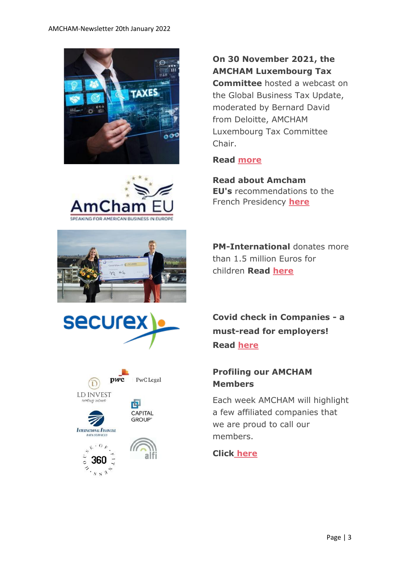









**On 30 November 2021, the AMCHAM Luxembourg Tax Committee** hosted a webcast on the Global Business Tax Update, moderated by Bernard David from Deloitte, AMCHAM Luxembourg Tax Committee Chair.

### **Read [more](https://www.amcham.lu/newsletter/global-business-tax-update/)**

**Read about Amcham EU's** recommendations to the French Presidency **[here](https://mailchi.mp/amchameu/amchams-in-europe-exchange-best-practices-in-belgrade-i-weekly-bulletin-tuesday-22-october-391569?e=5b10911939)**

**PM-International** donates more than 1.5 million Euros for children **Read [here](https://www.amcham.lu/pm-international-donates-more-than-1-5-million-euros-for-children/)**

**Covid check in Companies - a must-read for employers! Read [here](https://www.securex.lu/en/coronavirus-faq/101)**

### **Profiling our AMCHAM Members**

Each week AMCHAM will highlight a few affiliated companies that we are proud to call our members.

### **Click [here](https://www.amcham.lu/newsletter/profiling-our-amcham-members-20-january-2022/)**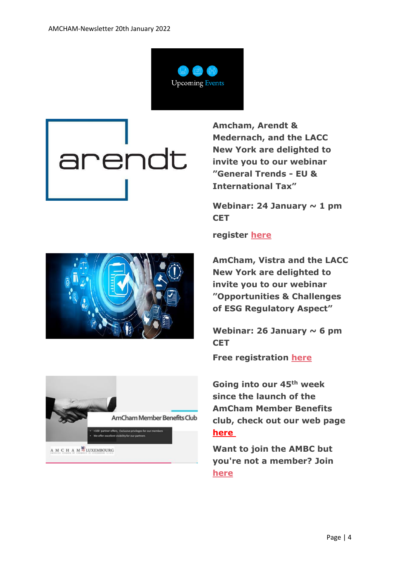

# arendt

**Amcham, Arendt & Medernach, and the LACC New York are delighted to invite you to our webinar "General Trends - EU & International Tax"**

Webinar: 24 January  $\sim$  1 pm **CET**



**AmCham, Vistra and the LACC New York are delighted to invite you to our webinar "Opportunities & Challenges of ESG Regulatory Aspect"**

Webinar: 26 January  $\sim$  6 pm **CET**

**Free registration [here](https://www.amcham.lu/events/opportunities-challenges-of-esg-regulatory-aspects/)**

**Going into our 45th week since the launch of the AmCham Member Benefits club, check out our web page [here](https://www.amcham.lu/amcham-benefits-club/)**

**Want to join the AMBC but you're not a member? Join [here](https://www.amcham.lu/amcham-benefits-club/ambc-card-for-non-members/)**